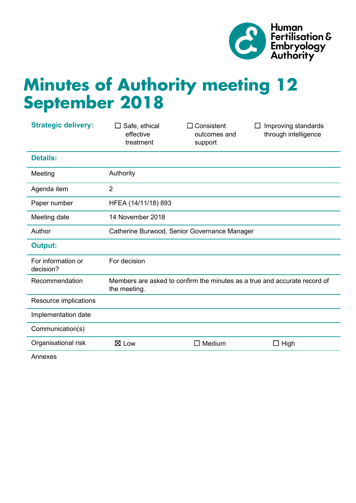

# **Minutes of Authority meeting 12 September 2018**

| <b>Strategic delivery:</b>      | Safe, ethical<br>effective<br>treatment                                                   | $\Box$ Consistent<br>outcomes and<br>support | Improving standards<br>through intelligence |
|---------------------------------|-------------------------------------------------------------------------------------------|----------------------------------------------|---------------------------------------------|
| <b>Details:</b>                 |                                                                                           |                                              |                                             |
| Meeting                         | Authority                                                                                 |                                              |                                             |
| Agenda item                     | $\overline{2}$                                                                            |                                              |                                             |
| Paper number                    | HFEA (14/11/18) 893                                                                       |                                              |                                             |
| Meeting date                    | 14 November 2018                                                                          |                                              |                                             |
| Author                          | Catherine Burwood, Senior Governance Manager                                              |                                              |                                             |
| <b>Output:</b>                  |                                                                                           |                                              |                                             |
| For information or<br>decision? | For decision                                                                              |                                              |                                             |
| Recommendation                  | Members are asked to confirm the minutes as a true and accurate record of<br>the meeting. |                                              |                                             |
| Resource implications           |                                                                                           |                                              |                                             |
| Implementation date             |                                                                                           |                                              |                                             |
| Communication(s)                |                                                                                           |                                              |                                             |
| Organisational risk             | $\boxtimes$ Low                                                                           | Medium<br>$\mathsf{L}$                       | $\Box$ High                                 |
|                                 |                                                                                           |                                              |                                             |

Annexes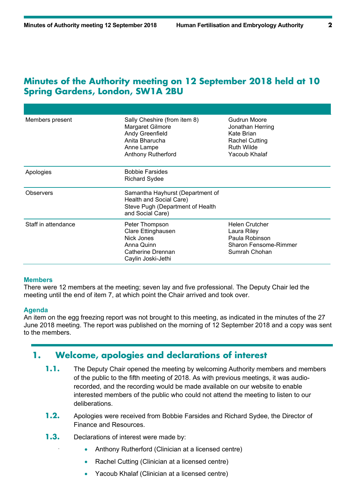# **Minutes of the Authority meeting on 12 September 2018 held at 10 Spring Gardens, London, SW1A 2BU**

| Members present     | Sally Cheshire (from item 8)<br>Margaret Gilmore<br>Andy Greenfield<br>Anita Bharucha<br>Anne Lampe<br><b>Anthony Rutherford</b> | Gudrun Moore<br>Jonathan Herring<br>Kate Brian<br>Rachel Cutting<br><b>Ruth Wilde</b><br>Yacoub Khalaf  |
|---------------------|----------------------------------------------------------------------------------------------------------------------------------|---------------------------------------------------------------------------------------------------------|
| Apologies           | <b>Bobbie Farsides</b><br><b>Richard Sydee</b>                                                                                   |                                                                                                         |
| <b>Observers</b>    | Samantha Hayhurst (Department of<br>Health and Social Care)<br>Steve Pugh (Department of Health<br>and Social Care)              |                                                                                                         |
| Staff in attendance | Peter Thompson<br>Clare Ettinghausen<br>Nick Jones<br>Anna Quinn<br>Catherine Drennan<br>Caylin Joski-Jethi                      | <b>Helen Crutcher</b><br>Laura Riley<br>Paula Robinson<br><b>Sharon Fensome-Rimmer</b><br>Sumrah Chohan |

### **Members**

There were 12 members at the meeting; seven lay and five professional. The Deputy Chair led the meeting until the end of item 7, at which point the Chair arrived and took over.

### **Agenda**

An item on the egg freezing report was not brought to this meeting, as indicated in the minutes of the 27 June 2018 meeting. The report was published on the morning of 12 September 2018 and a copy was sent to the members.

# **1. Welcome, apologies and declarations of interest**

- **1.1.** The Deputy Chair opened the meeting by welcoming Authority members and members of the public to the fifth meeting of 2018. As with previous meetings, it was audiorecorded, and the recording would be made available on our website to enable interested members of the public who could not attend the meeting to listen to our deliberations.
- **1.2.** Apologies were received from Bobbie Farsides and Richard Sydee, the Director of Finance and Resources.
- **1.3.** Declarations of interest were made by:
	- Anthony Rutherford (Clinician at a licensed centre)
	- Rachel Cutting (Clinician at a licensed centre)
	- Yacoub Khalaf (Clinician at a licensed centre)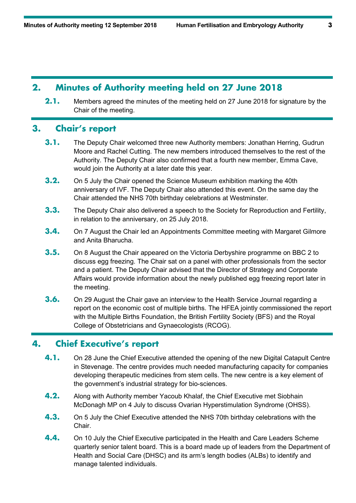## **2. Minutes of Authority meeting held on 27 June 2018**

**2.1.** Members agreed the minutes of the meeting held on 27 June 2018 for signature by the Chair of the meeting.

# **3. Chair's report**

- **3.1.** The Deputy Chair welcomed three new Authority members: Jonathan Herring, Gudrun Moore and Rachel Cutting. The new members introduced themselves to the rest of the Authority. The Deputy Chair also confirmed that a fourth new member, Emma Cave, would join the Authority at a later date this year.
- **3.2.** On 5 July the Chair opened the Science Museum exhibition marking the 40th anniversary of IVF. The Deputy Chair also attended this event. On the same day the Chair attended the NHS 70th birthday celebrations at Westminster.
- **3.3.** The Deputy Chair also delivered a speech to the Society for Reproduction and Fertility, in relation to the anniversary, on 25 July 2018.
- **3.4.** On 7 August the Chair led an Appointments Committee meeting with Margaret Gilmore and Anita Bharucha.
- **3.5.** On 8 August the Chair appeared on the Victoria Derbyshire programme on BBC 2 to discuss egg freezing. The Chair sat on a panel with other professionals from the sector and a patient. The Deputy Chair advised that the Director of Strategy and Corporate Affairs would provide information about the newly published egg freezing report later in the meeting.
- **3.6.** On 29 August the Chair gave an interview to the Health Service Journal regarding a report on the economic cost of multiple births. The HFEA jointly commissioned the report with the Multiple Births Foundation, the British Fertility Society (BFS) and the Royal College of Obstetricians and Gynaecologists (RCOG).

# **4. Chief Executive's report**

- **4.1.** On 28 June the Chief Executive attended the opening of the new Digital Catapult Centre in Stevenage. The centre provides much needed manufacturing capacity for companies developing therapeutic medicines from stem cells. The new centre is a key element of the government's industrial strategy for bio-sciences.
- **4.2.** Along with Authority member Yacoub Khalaf, the Chief Executive met Siobhain McDonagh MP on 4 July to discuss Ovarian Hyperstimulation Syndrome (OHSS).
- **4.3.** On 5 July the Chief Executive attended the NHS 70th birthday celebrations with the Chair.
- **4.4.** On 10 July the Chief Executive participated in the Health and Care Leaders Scheme quarterly senior talent board. This is a board made up of leaders from the Department of Health and Social Care (DHSC) and its arm's length bodies (ALBs) to identify and manage talented individuals.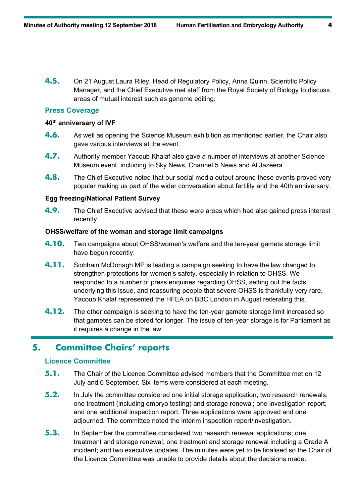**4.5.** On 21 August Laura Riley, Head of Regulatory Policy, Anna Quinn, Scientific Policy Manager, and the Chief Executive met staff from the Royal Society of Biology to discuss areas of mutual interest such as genome editing.

### **Press Coverage**

### **40th anniversary of IVF**

- **4.6.** As well as opening the Science Museum exhibition as mentioned earlier, the Chair also gave various interviews at the event.
- **4.7.** Authority member Yacoub Khalaf also gave a number of interviews at another Science Museum event, including to Sky News, Channel 5 News and Al Jazeera.
- **4.8.** The Chief Executive noted that our social media output around these events proved very popular making us part of the wider conversation about fertility and the 40th anniversary.

### **Egg freezing/National Patient Survey**

**4.9.** The Chief Executive advised that these were areas which had also gained press interest recently.

### **OHSS/welfare of the woman and storage limit campaigns**

- **4.10.** Two campaigns about OHSS/women's welfare and the ten-year gamete storage limit have begun recently.
- **4.11.** Siobhain McDonagh MP is leading a campaign seeking to have the law changed to strengthen protections for women's safety, especially in relation to OHSS. We responded to a number of press enquiries regarding OHSS, setting out the facts underlying this issue, and reassuring people that severe OHSS is thankfully very rare. Yacoub Khalaf represented the HFEA on BBC London in August reiterating this.
- **4.12.** The other campaign is seeking to have the ten-year gamete storage limit increased so that gametes can be stored for longer. The issue of ten-year storage is for Parliament as it requires a change in the law.

# **5. Committee Chairs' reports**

### **Licence Committee**

- **5.1.** The Chair of the Licence Committee advised members that the Committee met on 12 July and 6 September. Six items were considered at each meeting.
- **5.2.** In July the committee considered one initial storage application; two research renewals; one treatment (including embryo testing) and storage renewal; one investigation report; and one additional inspection report. Three applications were approved and one adjourned. The committee noted the interim inspection report/investigation.
- **5.3.** In September the committee considered two research renewal applications; one treatment and storage renewal; one treatment and storage renewal including a Grade A incident; and two executive updates. The minutes were yet to be finalised so the Chair of the Licence Committee was unable to provide details about the decisions made.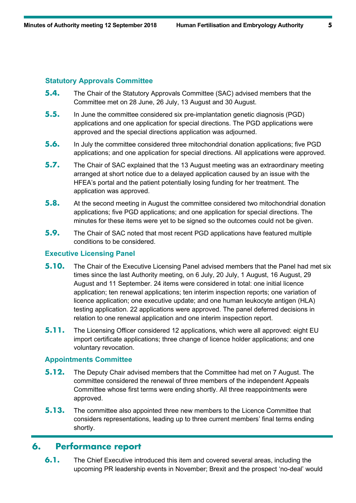### **Statutory Approvals Committee**

- **5.4.** The Chair of the Statutory Approvals Committee (SAC) advised members that the Committee met on 28 June, 26 July, 13 August and 30 August.
- **5.5.** In June the committee considered six pre-implantation genetic diagnosis (PGD) applications and one application for special directions. The PGD applications were approved and the special directions application was adjourned.
- **5.6.** In July the committee considered three mitochondrial donation applications; five PGD applications; and one application for special directions. All applications were approved.
- **5.7.** The Chair of SAC explained that the 13 August meeting was an extraordinary meeting arranged at short notice due to a delayed application caused by an issue with the HFEA's portal and the patient potentially losing funding for her treatment. The application was approved.
- **5.8.** At the second meeting in August the committee considered two mitochondrial donation applications; five PGD applications; and one application for special directions. The minutes for these items were yet to be signed so the outcomes could not be given.
- **5.9.** The Chair of SAC noted that most recent PGD applications have featured multiple conditions to be considered.

### **Executive Licensing Panel**

- **5.10.** The Chair of the Executive Licensing Panel advised members that the Panel had met six times since the last Authority meeting, on 6 July, 20 July, 1 August, 16 August, 29 August and 11 September. 24 items were considered in total: one initial licence application; ten renewal applications; ten interim inspection reports; one variation of licence application; one executive update; and one human leukocyte antigen (HLA) testing application. 22 applications were approved. The panel deferred decisions in relation to one renewal application and one interim inspection report.
- **5.11.** The Licensing Officer considered 12 applications, which were all approved: eight EU import certificate applications; three change of licence holder applications; and one voluntary revocation.

### **Appointments Committee**

- **5.12.** The Deputy Chair advised members that the Committee had met on 7 August. The committee considered the renewal of three members of the independent Appeals Committee whose first terms were ending shortly. All three reappointments were approved.
- **5.13.** The committee also appointed three new members to the Licence Committee that considers representations, leading up to three current members' final terms ending shortly.

# **6. Performance report**

**6.1.** The Chief Executive introduced this item and covered several areas, including the upcoming PR leadership events in November; Brexit and the prospect 'no-deal' would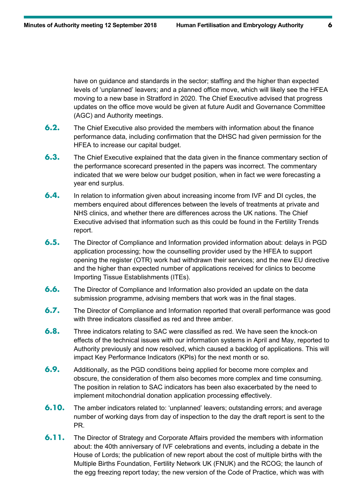have on guidance and standards in the sector; staffing and the higher than expected levels of 'unplanned' leavers; and a planned office move, which will likely see the HFEA moving to a new base in Stratford in 2020. The Chief Executive advised that progress updates on the office move would be given at future Audit and Governance Committee (AGC) and Authority meetings.

- **6.2.** The Chief Executive also provided the members with information about the finance performance data, including confirmation that the DHSC had given permission for the HFEA to increase our capital budget.
- **6.3.** The Chief Executive explained that the data given in the finance commentary section of the performance scorecard presented in the papers was incorrect. The commentary indicated that we were below our budget position, when in fact we were forecasting a year end surplus.
- **6.4.** In relation to information given about increasing income from IVF and DI cycles, the members enquired about differences between the levels of treatments at private and NHS clinics, and whether there are differences across the UK nations. The Chief Executive advised that information such as this could be found in the Fertility Trends report.
- **6.5.** The Director of Compliance and Information provided information about: delays in PGD application processing; how the counselling provider used by the HFEA to support opening the register (OTR) work had withdrawn their services; and the new EU directive and the higher than expected number of applications received for clinics to become Importing Tissue Establishments (ITEs).
- **6.6.** The Director of Compliance and Information also provided an update on the data submission programme, advising members that work was in the final stages.
- **6.7.** The Director of Compliance and Information reported that overall performance was good with three indicators classified as red and three amber.
- **6.8.** Three indicators relating to SAC were classified as red. We have seen the knock-on effects of the technical issues with our information systems in April and May, reported to Authority previously and now resolved, which caused a backlog of applications. This will impact Key Performance Indicators (KPIs) for the next month or so.
- **6.9.** Additionally, as the PGD conditions being applied for become more complex and obscure, the consideration of them also becomes more complex and time consuming. The position in relation to SAC indicators has been also exacerbated by the need to implement mitochondrial donation application processing effectively.
- **6.10.** The amber indicators related to: 'unplanned' leavers; outstanding errors; and average number of working days from day of inspection to the day the draft report is sent to the PR.
- **6.11.** The Director of Strategy and Corporate Affairs provided the members with information about: the 40th anniversary of IVF celebrations and events, including a debate in the House of Lords; the publication of new report about the cost of multiple births with the Multiple Births Foundation, Fertility Network UK (FNUK) and the RCOG; the launch of the egg freezing report today; the new version of the Code of Practice, which was with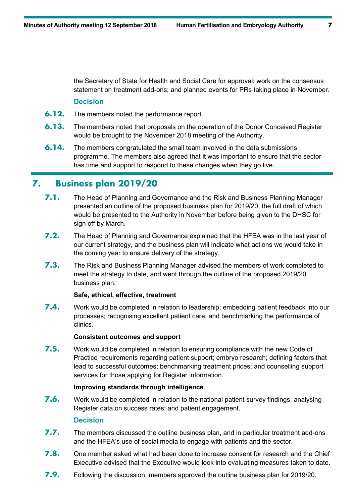the Secretary of State for Health and Social Care for approval; work on the consensus statement on treatment add-ons; and planned events for PRs taking place in November.

### **Decision**

- **6.12.** The members noted the performance report.
- **6.13.** The members noted that proposals on the operation of the Donor Conceived Register would be brought to the November 2018 meeting of the Authority.
- **6.14.** The members congratulated the small team involved in the data submissions programme. The members also agreed that it was important to ensure that the sector has time and support to respond to these changes when they go live.

### **7. Business plan 2019/20**

- **7.1.** The Head of Planning and Governance and the Risk and Business Planning Manager presented an outline of the proposed business plan for 2019/20, the full draft of which would be presented to the Authority in November before being given to the DHSC for sign off by March.
- **7.2.** The Head of Planning and Governance explained that the HFEA was in the last year of our current strategy, and the business plan will indicate what actions we would take in the coming year to ensure delivery of the strategy.
- **7.3.** The Risk and Business Planning Manager advised the members of work completed to meet the strategy to date, and went through the outline of the proposed 2019/20 business plan:

### **Safe, ethical, effective, treatment**

**7.4.** Work would be completed in relation to leadership; embedding patient feedback into our processes; recognising excellent patient care; and benchmarking the performance of clinics.

### **Consistent outcomes and support**

**7.5.** Work would be completed in relation to ensuring compliance with the new Code of Practice requirements regarding patient support; embryo research; defining factors that lead to successful outcomes; benchmarking treatment prices; and counselling support services for those applying for Register information.

### **Improving standards through intelligence**

**7.6.** Work would be completed in relation to the national patient survey findings; analysing Register data on success rates; and patient engagement.

### **Decision**

- **7.7.** The members discussed the outline business plan, and in particular treatment add-ons and the HFEA's use of social media to engage with patients and the sector.
- **7.8.** One member asked what had been done to increase consent for research and the Chief Executive advised that the Executive would look into evaluating measures taken to date.
- **7.9.** Following the discussion, members approved the outline business plan for 2019/20.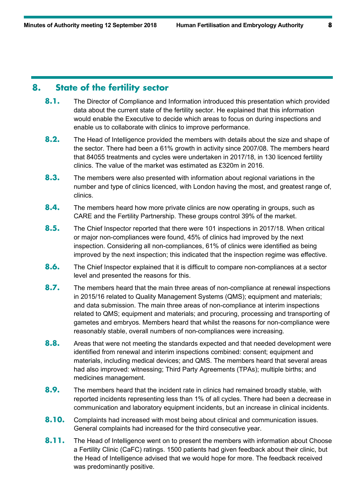# **8. State of the fertility sector**

- 8.1. The Director of Compliance and Information introduced this presentation which provided data about the current state of the fertility sector. He explained that this information would enable the Executive to decide which areas to focus on during inspections and enable us to collaborate with clinics to improve performance.
- **8.2.** The Head of Intelligence provided the members with details about the size and shape of the sector. There had been a 61% growth in activity since 2007/08. The members heard that 84055 treatments and cycles were undertaken in 2017/18, in 130 licenced fertility clinics. The value of the market was estimated as £320m in 2016.
- **8.3.** The members were also presented with information about regional variations in the number and type of clinics licenced, with London having the most, and greatest range of, clinics.
- **8.4.** The members heard how more private clinics are now operating in groups, such as CARE and the Fertility Partnership. These groups control 39% of the market.
- **8.5.** The Chief Inspector reported that there were 101 inspections in 2017/18. When critical or major non-compliances were found, 45% of clinics had improved by the next inspection. Considering all non-compliances, 61% of clinics were identified as being improved by the next inspection; this indicated that the inspection regime was effective.
- **8.6.** The Chief Inspector explained that it is difficult to compare non-compliances at a sector level and presented the reasons for this.
- **8.7.** The members heard that the main three areas of non-compliance at renewal inspections in 2015/16 related to Quality Management Systems (QMS); equipment and materials; and data submission. The main three areas of non-compliance at interim inspections related to QMS; equipment and materials; and procuring, processing and transporting of gametes and embryos. Members heard that whilst the reasons for non-compliance were reasonably stable, overall numbers of non-compliances were increasing.
- **8.8.** Areas that were not meeting the standards expected and that needed development were identified from renewal and interim inspections combined: consent; equipment and materials, including medical devices; and QMS. The members heard that several areas had also improved: witnessing; Third Party Agreements (TPAs); multiple births; and medicines management.
- **8.9.** The members heard that the incident rate in clinics had remained broadly stable, with reported incidents representing less than 1% of all cycles. There had been a decrease in communication and laboratory equipment incidents, but an increase in clinical incidents.
- **8.10.** Complaints had increased with most being about clinical and communication issues. General complaints had increased for the third consecutive year.
- **8.11.** The Head of Intelligence went on to present the members with information about Choose a Fertility Clinic (CaFC) ratings. 1500 patients had given feedback about their clinic, but the Head of Intelligence advised that we would hope for more. The feedback received was predominantly positive.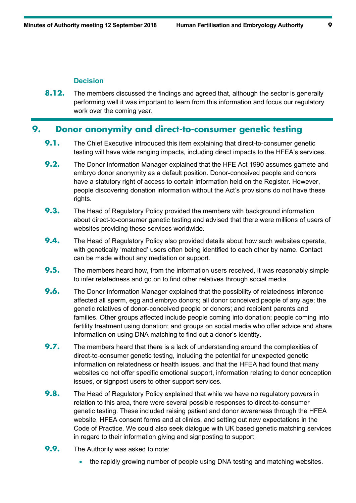### **Decision**

**8.12.** The members discussed the findings and agreed that, although the sector is generally performing well it was important to learn from this information and focus our regulatory work over the coming year.

# **9. Donor anonymity and direct-to-consumer genetic testing**

- **9.1.** The Chief Executive introduced this item explaining that direct-to-consumer genetic testing will have wide ranging impacts, including direct impacts to the HFEA's services.
- **9.2.** The Donor Information Manager explained that the HFE Act 1990 assumes gamete and embryo donor anonymity as a default position. Donor-conceived people and donors have a statutory right of access to certain information held on the Register. However, people discovering donation information without the Act's provisions do not have these rights.
- **9.3.** The Head of Regulatory Policy provided the members with background information about direct-to-consumer genetic testing and advised that there were millions of users of websites providing these services worldwide.
- **9.4.** The Head of Regulatory Policy also provided details about how such websites operate, with genetically 'matched' users often being identified to each other by name. Contact can be made without any mediation or support.
- **9.5.** The members heard how, from the information users received, it was reasonably simple to infer relatedness and go on to find other relatives through social media.
- **9.6.** The Donor Information Manager explained that the possibility of relatedness inference affected all sperm, egg and embryo donors; all donor conceived people of any age; the genetic relatives of donor-conceived people or donors; and recipient parents and families. Other groups affected include people coming into donation; people coming into fertility treatment using donation; and groups on social media who offer advice and share information on using DNA matching to find out a donor's identity.
- **9.7.** The members heard that there is a lack of understanding around the complexities of direct-to-consumer genetic testing, including the potential for unexpected genetic information on relatedness or health issues, and that the HFEA had found that many websites do not offer specific emotional support, information relating to donor conception issues, or signpost users to other support services.
- **9.8.** The Head of Regulatory Policy explained that while we have no regulatory powers in relation to this area, there were several possible responses to direct-to-consumer genetic testing. These included raising patient and donor awareness through the HFEA website, HFEA consent forms and at clinics, and setting out new expectations in the Code of Practice. We could also seek dialogue with UK based genetic matching services in regard to their information giving and signposting to support.
- **9.9.** The Authority was asked to note:
	- the rapidly growing number of people using DNA testing and matching websites.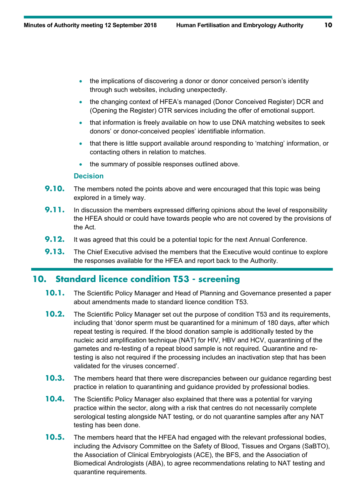- the implications of discovering a donor or donor conceived person's identity through such websites, including unexpectedly.
- the changing context of HFEA's managed (Donor Conceived Register) DCR and (Opening the Register) OTR services including the offer of emotional support.
- that information is freely available on how to use DNA matching websites to seek donors' or donor-conceived peoples' identifiable information.
- that there is little support available around responding to 'matching' information, or contacting others in relation to matches.
- the summary of possible responses outlined above.

### **Decision**

- **9.10.** The members noted the points above and were encouraged that this topic was being explored in a timely way.
- **9.11.** In discussion the members expressed differing opinions about the level of responsibility the HFEA should or could have towards people who are not covered by the provisions of the Act.
- **9.12.** It was agreed that this could be a potential topic for the next Annual Conference.
- **9.13.** The Chief Executive advised the members that the Executive would continue to explore the responses available for the HFEA and report back to the Authority.

# **10. Standard licence condition T53 - screening**

- **10.1.** The Scientific Policy Manager and Head of Planning and Governance presented a paper about amendments made to standard licence condition T53.
- **10.2.** The Scientific Policy Manager set out the purpose of condition T53 and its requirements, including that 'donor sperm must be quarantined for a minimum of 180 days, after which repeat testing is required. If the blood donation sample is additionally tested by the nucleic acid amplification technique (NAT) for HIV, HBV and HCV, quarantining of the gametes and re-testing of a repeat blood sample is not required. Quarantine and retesting is also not required if the processing includes an inactivation step that has been validated for the viruses concerned'.
- **10.3.** The members heard that there were discrepancies between our guidance regarding best practice in relation to quarantining and guidance provided by professional bodies.
- **10.4.** The Scientific Policy Manager also explained that there was a potential for varying practice within the sector, along with a risk that centres do not necessarily complete serological testing alongside NAT testing, or do not quarantine samples after any NAT testing has been done.
- **10.5.** The members heard that the HFEA had engaged with the relevant professional bodies, including the Advisory Committee on the Safety of Blood, Tissues and Organs (SaBTO), the Association of Clinical Embryologists (ACE), the BFS, and the Association of Biomedical Andrologists (ABA), to agree recommendations relating to NAT testing and quarantine requirements.